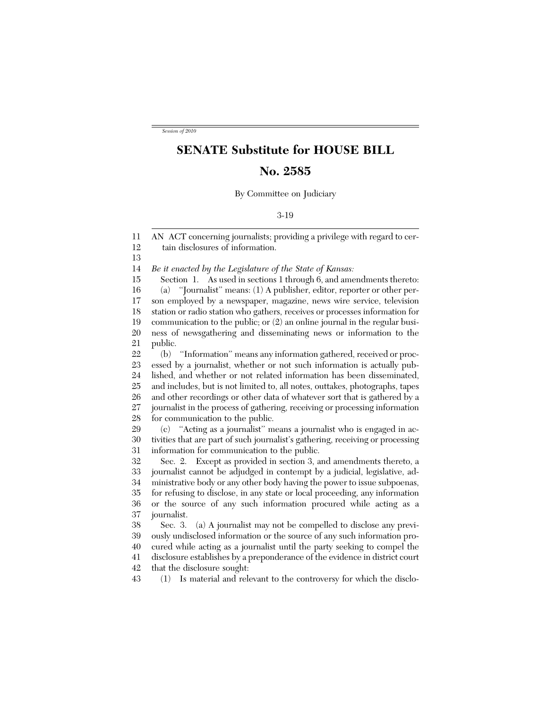*Session of 2010*

## **SENATE Substitute for HOUSE BILL**

## **No. 2585**

By Committee on Judiciary

3-19

11 12 13 14 15 16 17 18 19 20 21 22 23 24 25 26 27 28 29 30 31 32 33 34 35 36 37 38 39 40 41 42 43 AN ACT concerning journalists; providing a privilege with regard to certain disclosures of information. *Be it enacted by the Legislature of the State of Kansas:* Section 1. As used in sections 1 through 6, and amendments thereto: (a) ''Journalist'' means: (1) A publisher, editor, reporter or other person employed by a newspaper, magazine, news wire service, television station or radio station who gathers, receives or processes information for communication to the public; or (2) an online journal in the regular business of newsgathering and disseminating news or information to the public. (b) ''Information'' means any information gathered, received or processed by a journalist, whether or not such information is actually published, and whether or not related information has been disseminated, and includes, but is not limited to, all notes, outtakes, photographs, tapes and other recordings or other data of whatever sort that is gathered by a journalist in the process of gathering, receiving or processing information for communication to the public. (c) ''Acting as a journalist'' means a journalist who is engaged in activities that are part of such journalist's gathering, receiving or processing information for communication to the public. Sec. 2. Except as provided in section 3, and amendments thereto, a journalist cannot be adjudged in contempt by a judicial, legislative, administrative body or any other body having the power to issue subpoenas, for refusing to disclose, in any state or local proceeding, any information or the source of any such information procured while acting as a journalist. Sec. 3. (a) A journalist may not be compelled to disclose any previously undisclosed information or the source of any such information procured while acting as a journalist until the party seeking to compel the disclosure establishes by a preponderance of the evidence in district court that the disclosure sought: (1) Is material and relevant to the controversy for which the disclo